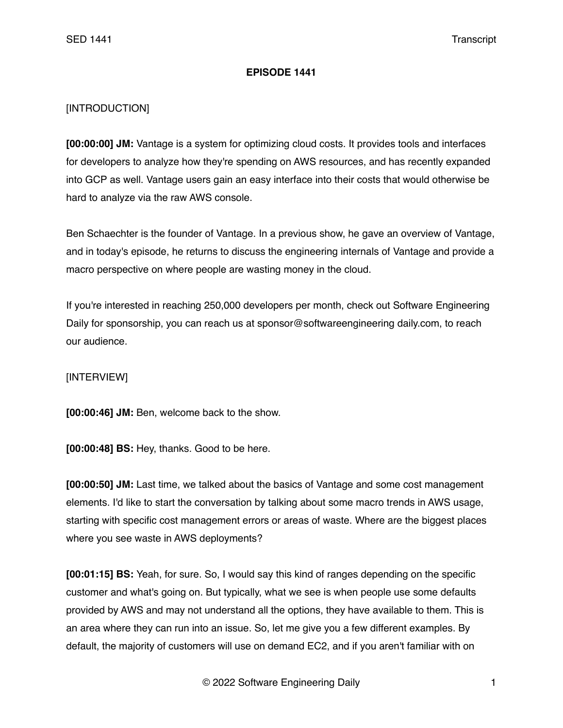## **EPISODE 1441**

## [INTRODUCTION]

**[00:00:00] JM:** Vantage is a system for optimizing cloud costs. It provides tools and interfaces for developers to analyze how they're spending on AWS resources, and has recently expanded into GCP as well. Vantage users gain an easy interface into their costs that would otherwise be hard to analyze via the raw AWS console.

Ben Schaechter is the founder of Vantage. In a previous show, he gave an overview of Vantage, and in today's episode, he returns to discuss the engineering internals of Vantage and provide a macro perspective on where people are wasting money in the cloud.

If you're interested in reaching 250,000 developers per month, check out Software Engineering Daily for sponsorship, you can reach us at sponsor@softwareengineering daily.com, to reach our audience.

## [INTERVIEW]

**[00:00:46] JM:** Ben, welcome back to the show.

**[00:00:48] BS:** Hey, thanks. Good to be here.

**[00:00:50] JM:** Last time, we talked about the basics of Vantage and some cost management elements. I'd like to start the conversation by talking about some macro trends in AWS usage, starting with specific cost management errors or areas of waste. Where are the biggest places where you see waste in AWS deployments?

**[00:01:15] BS:** Yeah, for sure. So, I would say this kind of ranges depending on the specific customer and what's going on. But typically, what we see is when people use some defaults provided by AWS and may not understand all the options, they have available to them. This is an area where they can run into an issue. So, let me give you a few different examples. By default, the majority of customers will use on demand EC2, and if you aren't familiar with on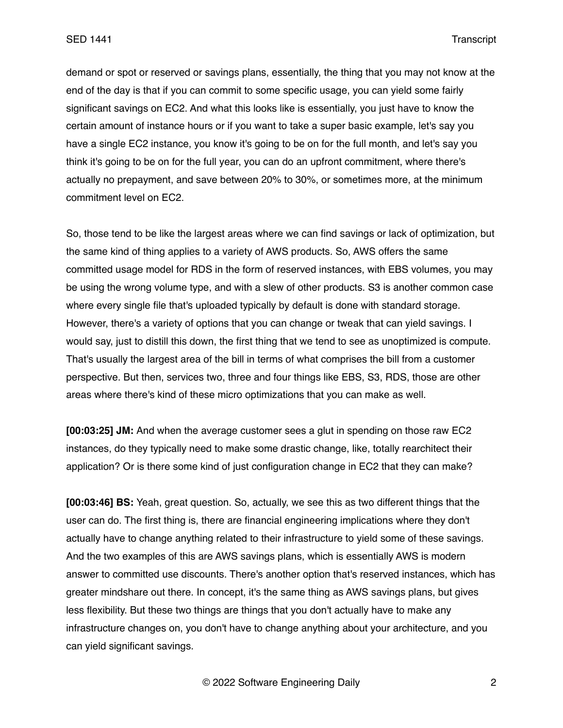demand or spot or reserved or savings plans, essentially, the thing that you may not know at the end of the day is that if you can commit to some specific usage, you can yield some fairly significant savings on EC2. And what this looks like is essentially, you just have to know the certain amount of instance hours or if you want to take a super basic example, let's say you have a single EC2 instance, you know it's going to be on for the full month, and let's say you think it's going to be on for the full year, you can do an upfront commitment, where there's actually no prepayment, and save between 20% to 30%, or sometimes more, at the minimum commitment level on EC2.

So, those tend to be like the largest areas where we can find savings or lack of optimization, but the same kind of thing applies to a variety of AWS products. So, AWS offers the same committed usage model for RDS in the form of reserved instances, with EBS volumes, you may be using the wrong volume type, and with a slew of other products. S3 is another common case where every single file that's uploaded typically by default is done with standard storage. However, there's a variety of options that you can change or tweak that can yield savings. I would say, just to distill this down, the first thing that we tend to see as unoptimized is compute. That's usually the largest area of the bill in terms of what comprises the bill from a customer perspective. But then, services two, three and four things like EBS, S3, RDS, those are other areas where there's kind of these micro optimizations that you can make as well.

**[00:03:25] JM:** And when the average customer sees a glut in spending on those raw EC2 instances, do they typically need to make some drastic change, like, totally rearchitect their application? Or is there some kind of just configuration change in EC2 that they can make?

**[00:03:46] BS:** Yeah, great question. So, actually, we see this as two different things that the user can do. The first thing is, there are financial engineering implications where they don't actually have to change anything related to their infrastructure to yield some of these savings. And the two examples of this are AWS savings plans, which is essentially AWS is modern answer to committed use discounts. There's another option that's reserved instances, which has greater mindshare out there. In concept, it's the same thing as AWS savings plans, but gives less flexibility. But these two things are things that you don't actually have to make any infrastructure changes on, you don't have to change anything about your architecture, and you can yield significant savings.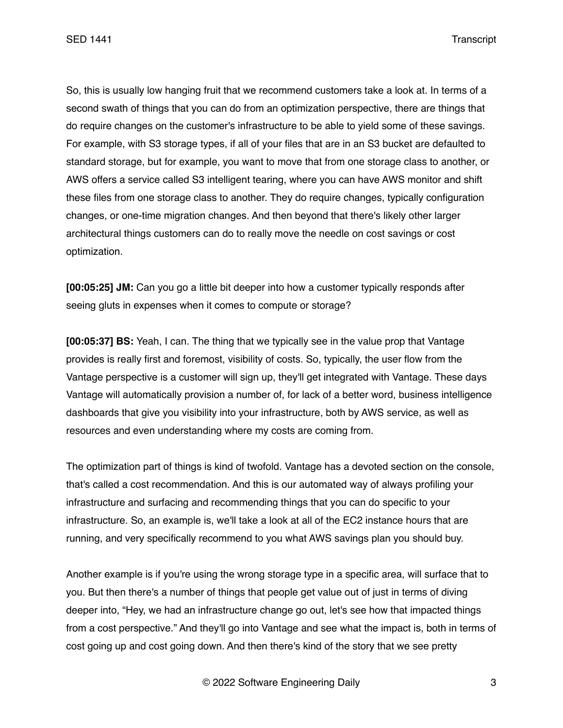SED 1441 Transcript

So, this is usually low hanging fruit that we recommend customers take a look at. In terms of a second swath of things that you can do from an optimization perspective, there are things that do require changes on the customer's infrastructure to be able to yield some of these savings. For example, with S3 storage types, if all of your files that are in an S3 bucket are defaulted to standard storage, but for example, you want to move that from one storage class to another, or AWS offers a service called S3 intelligent tearing, where you can have AWS monitor and shift these files from one storage class to another. They do require changes, typically configuration changes, or one-time migration changes. And then beyond that there's likely other larger architectural things customers can do to really move the needle on cost savings or cost optimization.

**[00:05:25] JM:** Can you go a little bit deeper into how a customer typically responds after seeing gluts in expenses when it comes to compute or storage?

**[00:05:37] BS:** Yeah, I can. The thing that we typically see in the value prop that Vantage provides is really first and foremost, visibility of costs. So, typically, the user flow from the Vantage perspective is a customer will sign up, they'll get integrated with Vantage. These days Vantage will automatically provision a number of, for lack of a better word, business intelligence dashboards that give you visibility into your infrastructure, both by AWS service, as well as resources and even understanding where my costs are coming from.

The optimization part of things is kind of twofold. Vantage has a devoted section on the console, that's called a cost recommendation. And this is our automated way of always profiling your infrastructure and surfacing and recommending things that you can do specific to your infrastructure. So, an example is, we'll take a look at all of the EC2 instance hours that are running, and very specifically recommend to you what AWS savings plan you should buy.

Another example is if you're using the wrong storage type in a specific area, will surface that to you. But then there's a number of things that people get value out of just in terms of diving deeper into, "Hey, we had an infrastructure change go out, let's see how that impacted things from a cost perspective." And they'll go into Vantage and see what the impact is, both in terms of cost going up and cost going down. And then there's kind of the story that we see pretty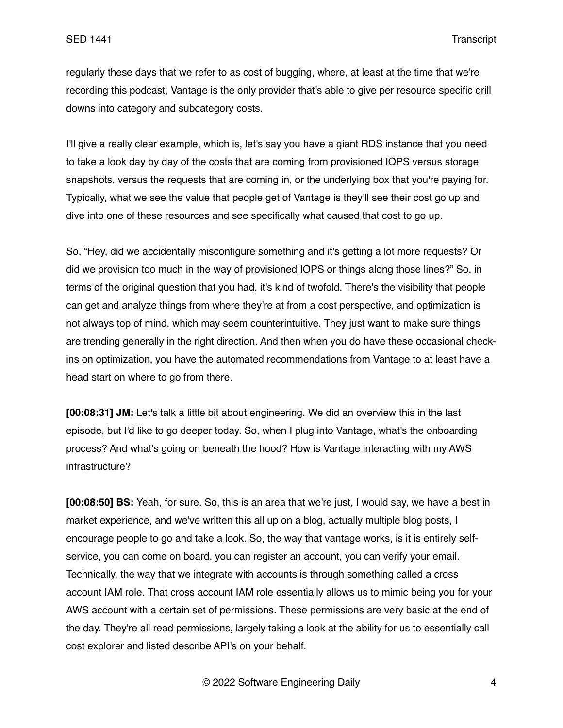regularly these days that we refer to as cost of bugging, where, at least at the time that we're recording this podcast, Vantage is the only provider that's able to give per resource specific drill downs into category and subcategory costs.

I'll give a really clear example, which is, let's say you have a giant RDS instance that you need to take a look day by day of the costs that are coming from provisioned IOPS versus storage snapshots, versus the requests that are coming in, or the underlying box that you're paying for. Typically, what we see the value that people get of Vantage is they'll see their cost go up and dive into one of these resources and see specifically what caused that cost to go up.

So, "Hey, did we accidentally misconfigure something and it's getting a lot more requests? Or did we provision too much in the way of provisioned IOPS or things along those lines?" So, in terms of the original question that you had, it's kind of twofold. There's the visibility that people can get and analyze things from where they're at from a cost perspective, and optimization is not always top of mind, which may seem counterintuitive. They just want to make sure things are trending generally in the right direction. And then when you do have these occasional checkins on optimization, you have the automated recommendations from Vantage to at least have a head start on where to go from there.

**[00:08:31] JM:** Let's talk a little bit about engineering. We did an overview this in the last episode, but I'd like to go deeper today. So, when I plug into Vantage, what's the onboarding process? And what's going on beneath the hood? How is Vantage interacting with my AWS infrastructure?

**[00:08:50] BS:** Yeah, for sure. So, this is an area that we're just, I would say, we have a best in market experience, and we've written this all up on a blog, actually multiple blog posts, I encourage people to go and take a look. So, the way that vantage works, is it is entirely selfservice, you can come on board, you can register an account, you can verify your email. Technically, the way that we integrate with accounts is through something called a cross account IAM role. That cross account IAM role essentially allows us to mimic being you for your AWS account with a certain set of permissions. These permissions are very basic at the end of the day. They're all read permissions, largely taking a look at the ability for us to essentially call cost explorer and listed describe API's on your behalf.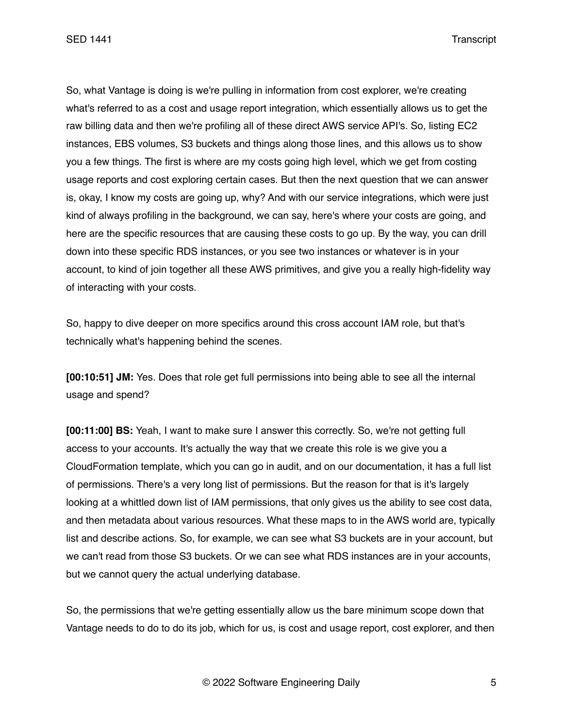So, what Vantage is doing is we're pulling in information from cost explorer, we're creating what's referred to as a cost and usage report integration, which essentially allows us to get the raw billing data and then we're profiling all of these direct AWS service API's. So, listing EC2 instances, EBS volumes, S3 buckets and things along those lines, and this allows us to show you a few things. The first is where are my costs going high level, which we get from costing usage reports and cost exploring certain cases. But then the next question that we can answer is, okay, I know my costs are going up, why? And with our service integrations, which were just kind of always profiling in the background, we can say, here's where your costs are going, and here are the specific resources that are causing these costs to go up. By the way, you can drill down into these specific RDS instances, or you see two instances or whatever is in your account, to kind of join together all these AWS primitives, and give you a really high-fidelity way of interacting with your costs.

So, happy to dive deeper on more specifics around this cross account IAM role, but that's technically what's happening behind the scenes.

**[00:10:51] JM:** Yes. Does that role get full permissions into being able to see all the internal usage and spend?

**[00:11:00] BS:** Yeah, I want to make sure I answer this correctly. So, we're not getting full access to your accounts. It's actually the way that we create this role is we give you a CloudFormation template, which you can go in audit, and on our documentation, it has a full list of permissions. There's a very long list of permissions. But the reason for that is it's largely looking at a whittled down list of IAM permissions, that only gives us the ability to see cost data, and then metadata about various resources. What these maps to in the AWS world are, typically list and describe actions. So, for example, we can see what S3 buckets are in your account, but we can't read from those S3 buckets. Or we can see what RDS instances are in your accounts, but we cannot query the actual underlying database.

So, the permissions that we're getting essentially allow us the bare minimum scope down that Vantage needs to do to do its job, which for us, is cost and usage report, cost explorer, and then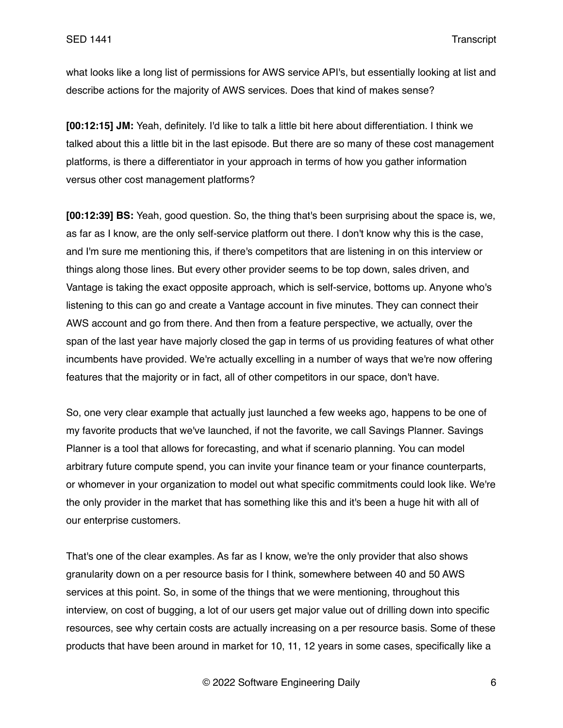what looks like a long list of permissions for AWS service API's, but essentially looking at list and describe actions for the majority of AWS services. Does that kind of makes sense?

**[00:12:15] JM:** Yeah, definitely. I'd like to talk a little bit here about differentiation. I think we talked about this a little bit in the last episode. But there are so many of these cost management platforms, is there a differentiator in your approach in terms of how you gather information versus other cost management platforms?

**[00:12:39] BS:** Yeah, good question. So, the thing that's been surprising about the space is, we, as far as I know, are the only self-service platform out there. I don't know why this is the case, and I'm sure me mentioning this, if there's competitors that are listening in on this interview or things along those lines. But every other provider seems to be top down, sales driven, and Vantage is taking the exact opposite approach, which is self-service, bottoms up. Anyone who's listening to this can go and create a Vantage account in five minutes. They can connect their AWS account and go from there. And then from a feature perspective, we actually, over the span of the last year have majorly closed the gap in terms of us providing features of what other incumbents have provided. We're actually excelling in a number of ways that we're now offering features that the majority or in fact, all of other competitors in our space, don't have.

So, one very clear example that actually just launched a few weeks ago, happens to be one of my favorite products that we've launched, if not the favorite, we call Savings Planner. Savings Planner is a tool that allows for forecasting, and what if scenario planning. You can model arbitrary future compute spend, you can invite your finance team or your finance counterparts, or whomever in your organization to model out what specific commitments could look like. We're the only provider in the market that has something like this and it's been a huge hit with all of our enterprise customers.

That's one of the clear examples. As far as I know, we're the only provider that also shows granularity down on a per resource basis for I think, somewhere between 40 and 50 AWS services at this point. So, in some of the things that we were mentioning, throughout this interview, on cost of bugging, a lot of our users get major value out of drilling down into specific resources, see why certain costs are actually increasing on a per resource basis. Some of these products that have been around in market for 10, 11, 12 years in some cases, specifically like a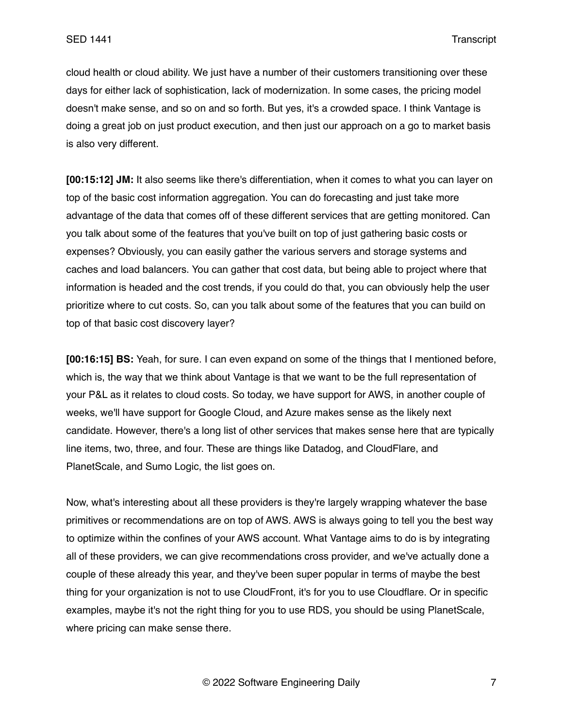cloud health or cloud ability. We just have a number of their customers transitioning over these days for either lack of sophistication, lack of modernization. In some cases, the pricing model doesn't make sense, and so on and so forth. But yes, it's a crowded space. I think Vantage is doing a great job on just product execution, and then just our approach on a go to market basis is also very different.

**[00:15:12] JM:** It also seems like there's differentiation, when it comes to what you can layer on top of the basic cost information aggregation. You can do forecasting and just take more advantage of the data that comes off of these different services that are getting monitored. Can you talk about some of the features that you've built on top of just gathering basic costs or expenses? Obviously, you can easily gather the various servers and storage systems and caches and load balancers. You can gather that cost data, but being able to project where that information is headed and the cost trends, if you could do that, you can obviously help the user prioritize where to cut costs. So, can you talk about some of the features that you can build on top of that basic cost discovery layer?

**[00:16:15] BS:** Yeah, for sure. I can even expand on some of the things that I mentioned before, which is, the way that we think about Vantage is that we want to be the full representation of your P&L as it relates to cloud costs. So today, we have support for AWS, in another couple of weeks, we'll have support for Google Cloud, and Azure makes sense as the likely next candidate. However, there's a long list of other services that makes sense here that are typically line items, two, three, and four. These are things like Datadog, and CloudFlare, and PlanetScale, and Sumo Logic, the list goes on.

Now, what's interesting about all these providers is they're largely wrapping whatever the base primitives or recommendations are on top of AWS. AWS is always going to tell you the best way to optimize within the confines of your AWS account. What Vantage aims to do is by integrating all of these providers, we can give recommendations cross provider, and we've actually done a couple of these already this year, and they've been super popular in terms of maybe the best thing for your organization is not to use CloudFront, it's for you to use Cloudflare. Or in specific examples, maybe it's not the right thing for you to use RDS, you should be using PlanetScale, where pricing can make sense there.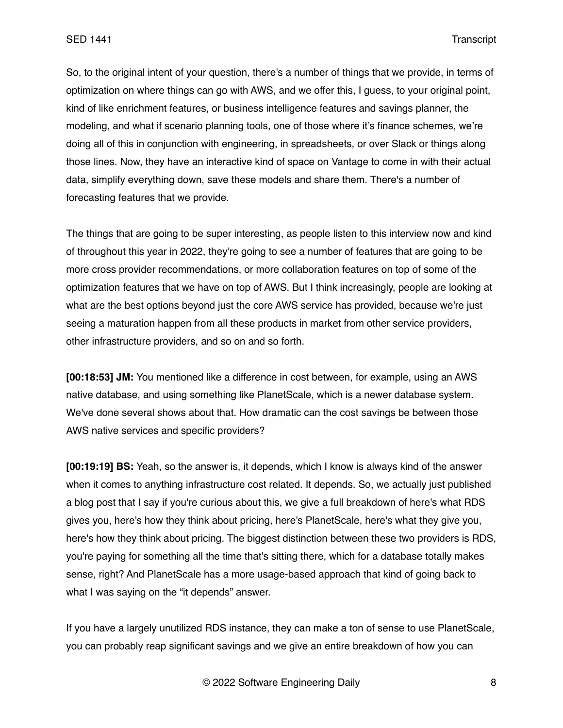So, to the original intent of your question, there's a number of things that we provide, in terms of optimization on where things can go with AWS, and we offer this, I guess, to your original point, kind of like enrichment features, or business intelligence features and savings planner, the modeling, and what if scenario planning tools, one of those where it's finance schemes, we're doing all of this in conjunction with engineering, in spreadsheets, or over Slack or things along those lines. Now, they have an interactive kind of space on Vantage to come in with their actual data, simplify everything down, save these models and share them. There's a number of forecasting features that we provide.

The things that are going to be super interesting, as people listen to this interview now and kind of throughout this year in 2022, they're going to see a number of features that are going to be more cross provider recommendations, or more collaboration features on top of some of the optimization features that we have on top of AWS. But I think increasingly, people are looking at what are the best options beyond just the core AWS service has provided, because we're just seeing a maturation happen from all these products in market from other service providers, other infrastructure providers, and so on and so forth.

**[00:18:53] JM:** You mentioned like a difference in cost between, for example, using an AWS native database, and using something like PlanetScale, which is a newer database system. We've done several shows about that. How dramatic can the cost savings be between those AWS native services and specific providers?

**[00:19:19] BS:** Yeah, so the answer is, it depends, which I know is always kind of the answer when it comes to anything infrastructure cost related. It depends. So, we actually just published a blog post that I say if you're curious about this, we give a full breakdown of here's what RDS gives you, here's how they think about pricing, here's PlanetScale, here's what they give you, here's how they think about pricing. The biggest distinction between these two providers is RDS, you're paying for something all the time that's sitting there, which for a database totally makes sense, right? And PlanetScale has a more usage-based approach that kind of going back to what I was saying on the "it depends" answer.

If you have a largely unutilized RDS instance, they can make a ton of sense to use PlanetScale, you can probably reap significant savings and we give an entire breakdown of how you can

© 2022 Software Engineering Daily 8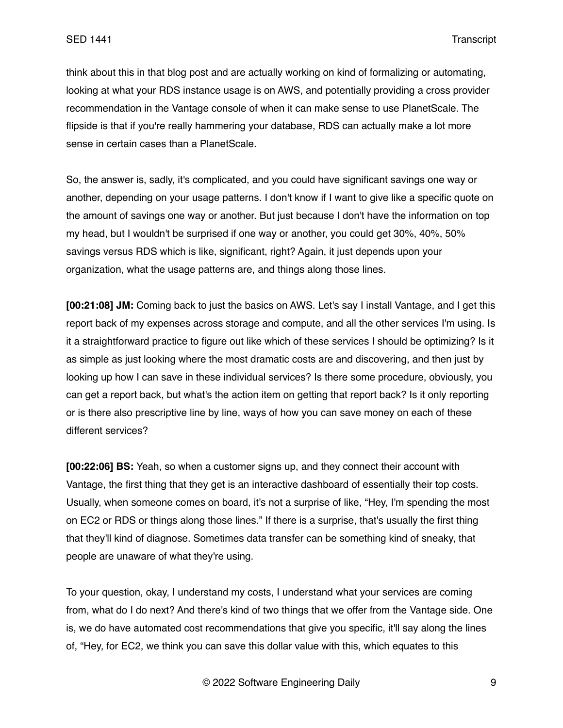think about this in that blog post and are actually working on kind of formalizing or automating, looking at what your RDS instance usage is on AWS, and potentially providing a cross provider recommendation in the Vantage console of when it can make sense to use PlanetScale. The flipside is that if you're really hammering your database, RDS can actually make a lot more sense in certain cases than a PlanetScale.

So, the answer is, sadly, it's complicated, and you could have significant savings one way or another, depending on your usage patterns. I don't know if I want to give like a specific quote on the amount of savings one way or another. But just because I don't have the information on top my head, but I wouldn't be surprised if one way or another, you could get 30%, 40%, 50% savings versus RDS which is like, significant, right? Again, it just depends upon your organization, what the usage patterns are, and things along those lines.

**[00:21:08] JM:** Coming back to just the basics on AWS. Let's say I install Vantage, and I get this report back of my expenses across storage and compute, and all the other services I'm using. Is it a straightforward practice to figure out like which of these services I should be optimizing? Is it as simple as just looking where the most dramatic costs are and discovering, and then just by looking up how I can save in these individual services? Is there some procedure, obviously, you can get a report back, but what's the action item on getting that report back? Is it only reporting or is there also prescriptive line by line, ways of how you can save money on each of these different services?

**[00:22:06] BS:** Yeah, so when a customer signs up, and they connect their account with Vantage, the first thing that they get is an interactive dashboard of essentially their top costs. Usually, when someone comes on board, it's not a surprise of like, "Hey, I'm spending the most on EC2 or RDS or things along those lines." If there is a surprise, that's usually the first thing that they'll kind of diagnose. Sometimes data transfer can be something kind of sneaky, that people are unaware of what they're using.

To your question, okay, I understand my costs, I understand what your services are coming from, what do I do next? And there's kind of two things that we offer from the Vantage side. One is, we do have automated cost recommendations that give you specific, it'll say along the lines of, "Hey, for EC2, we think you can save this dollar value with this, which equates to this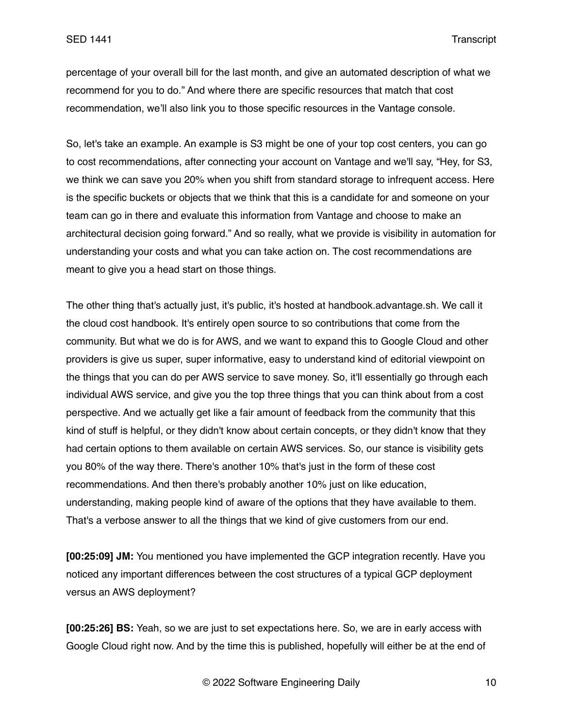percentage of your overall bill for the last month, and give an automated description of what we recommend for you to do." And where there are specific resources that match that cost recommendation, we'll also link you to those specific resources in the Vantage console.

So, let's take an example. An example is S3 might be one of your top cost centers, you can go to cost recommendations, after connecting your account on Vantage and we'll say, "Hey, for S3, we think we can save you 20% when you shift from standard storage to infrequent access. Here is the specific buckets or objects that we think that this is a candidate for and someone on your team can go in there and evaluate this information from Vantage and choose to make an architectural decision going forward." And so really, what we provide is visibility in automation for understanding your costs and what you can take action on. The cost recommendations are meant to give you a head start on those things.

The other thing that's actually just, it's public, it's hosted at handbook.advantage.sh. We call it the cloud cost handbook. It's entirely open source to so contributions that come from the community. But what we do is for AWS, and we want to expand this to Google Cloud and other providers is give us super, super informative, easy to understand kind of editorial viewpoint on the things that you can do per AWS service to save money. So, it'll essentially go through each individual AWS service, and give you the top three things that you can think about from a cost perspective. And we actually get like a fair amount of feedback from the community that this kind of stuff is helpful, or they didn't know about certain concepts, or they didn't know that they had certain options to them available on certain AWS services. So, our stance is visibility gets you 80% of the way there. There's another 10% that's just in the form of these cost recommendations. And then there's probably another 10% just on like education, understanding, making people kind of aware of the options that they have available to them. That's a verbose answer to all the things that we kind of give customers from our end.

**[00:25:09] JM:** You mentioned you have implemented the GCP integration recently. Have you noticed any important differences between the cost structures of a typical GCP deployment versus an AWS deployment?

**[00:25:26] BS:** Yeah, so we are just to set expectations here. So, we are in early access with Google Cloud right now. And by the time this is published, hopefully will either be at the end of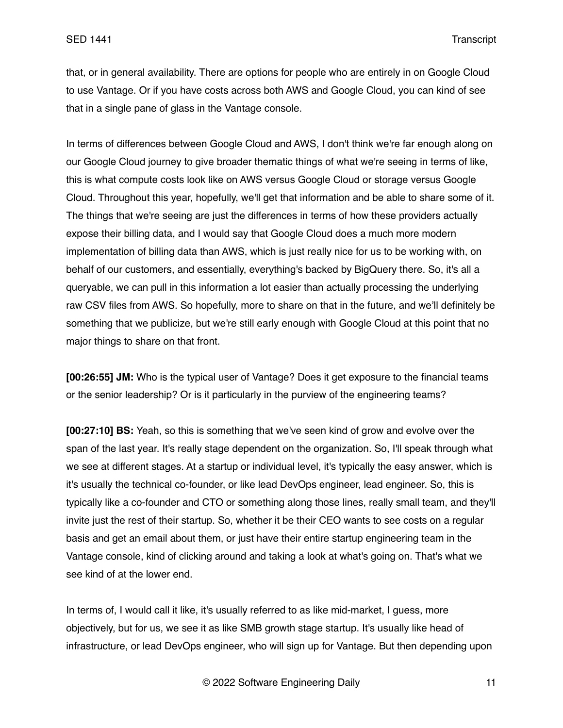that, or in general availability. There are options for people who are entirely in on Google Cloud to use Vantage. Or if you have costs across both AWS and Google Cloud, you can kind of see that in a single pane of glass in the Vantage console.

In terms of differences between Google Cloud and AWS, I don't think we're far enough along on our Google Cloud journey to give broader thematic things of what we're seeing in terms of like, this is what compute costs look like on AWS versus Google Cloud or storage versus Google Cloud. Throughout this year, hopefully, we'll get that information and be able to share some of it. The things that we're seeing are just the differences in terms of how these providers actually expose their billing data, and I would say that Google Cloud does a much more modern implementation of billing data than AWS, which is just really nice for us to be working with, on behalf of our customers, and essentially, everything's backed by BigQuery there. So, it's all a queryable, we can pull in this information a lot easier than actually processing the underlying raw CSV files from AWS. So hopefully, more to share on that in the future, and we'll definitely be something that we publicize, but we're still early enough with Google Cloud at this point that no major things to share on that front.

**[00:26:55] JM:** Who is the typical user of Vantage? Does it get exposure to the financial teams or the senior leadership? Or is it particularly in the purview of the engineering teams?

**[00:27:10] BS:** Yeah, so this is something that we've seen kind of grow and evolve over the span of the last year. It's really stage dependent on the organization. So, I'll speak through what we see at different stages. At a startup or individual level, it's typically the easy answer, which is it's usually the technical co-founder, or like lead DevOps engineer, lead engineer. So, this is typically like a co-founder and CTO or something along those lines, really small team, and they'll invite just the rest of their startup. So, whether it be their CEO wants to see costs on a regular basis and get an email about them, or just have their entire startup engineering team in the Vantage console, kind of clicking around and taking a look at what's going on. That's what we see kind of at the lower end.

In terms of, I would call it like, it's usually referred to as like mid-market, I guess, more objectively, but for us, we see it as like SMB growth stage startup. It's usually like head of infrastructure, or lead DevOps engineer, who will sign up for Vantage. But then depending upon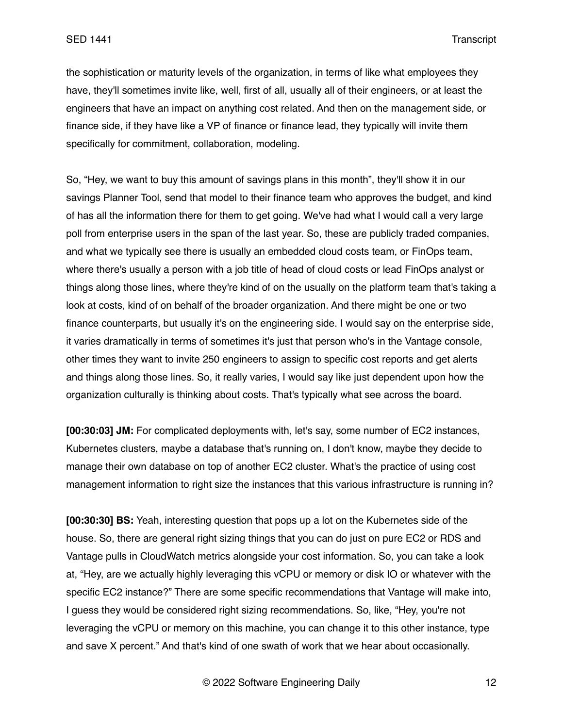the sophistication or maturity levels of the organization, in terms of like what employees they have, they'll sometimes invite like, well, first of all, usually all of their engineers, or at least the engineers that have an impact on anything cost related. And then on the management side, or finance side, if they have like a VP of finance or finance lead, they typically will invite them specifically for commitment, collaboration, modeling.

So, "Hey, we want to buy this amount of savings plans in this month", they'll show it in our savings Planner Tool, send that model to their finance team who approves the budget, and kind of has all the information there for them to get going. We've had what I would call a very large poll from enterprise users in the span of the last year. So, these are publicly traded companies, and what we typically see there is usually an embedded cloud costs team, or FinOps team, where there's usually a person with a job title of head of cloud costs or lead FinOps analyst or things along those lines, where they're kind of on the usually on the platform team that's taking a look at costs, kind of on behalf of the broader organization. And there might be one or two finance counterparts, but usually it's on the engineering side. I would say on the enterprise side, it varies dramatically in terms of sometimes it's just that person who's in the Vantage console, other times they want to invite 250 engineers to assign to specific cost reports and get alerts and things along those lines. So, it really varies, I would say like just dependent upon how the organization culturally is thinking about costs. That's typically what see across the board.

**[00:30:03] JM:** For complicated deployments with, let's say, some number of EC2 instances, Kubernetes clusters, maybe a database that's running on, I don't know, maybe they decide to manage their own database on top of another EC2 cluster. What's the practice of using cost management information to right size the instances that this various infrastructure is running in?

**[00:30:30] BS:** Yeah, interesting question that pops up a lot on the Kubernetes side of the house. So, there are general right sizing things that you can do just on pure EC2 or RDS and Vantage pulls in CloudWatch metrics alongside your cost information. So, you can take a look at, "Hey, are we actually highly leveraging this vCPU or memory or disk IO or whatever with the specific EC2 instance?" There are some specific recommendations that Vantage will make into, I guess they would be considered right sizing recommendations. So, like, "Hey, you're not leveraging the vCPU or memory on this machine, you can change it to this other instance, type and save X percent." And that's kind of one swath of work that we hear about occasionally.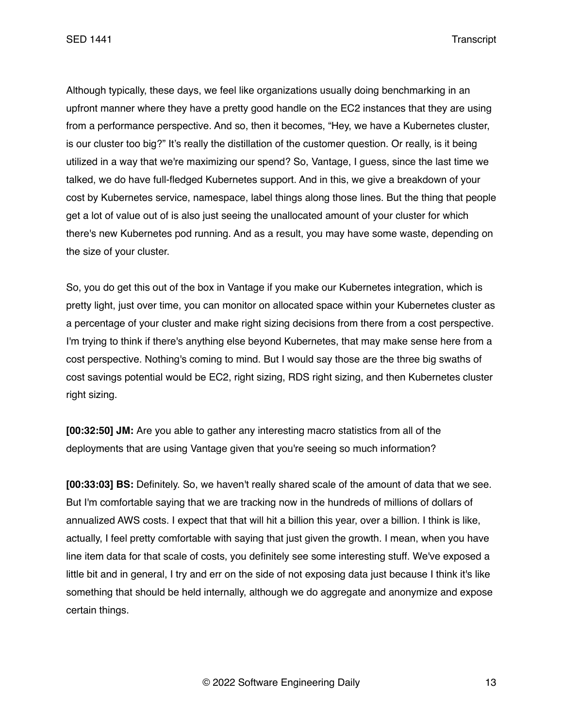SED 1441 Transcript

Although typically, these days, we feel like organizations usually doing benchmarking in an upfront manner where they have a pretty good handle on the EC2 instances that they are using from a performance perspective. And so, then it becomes, "Hey, we have a Kubernetes cluster, is our cluster too big?" It's really the distillation of the customer question. Or really, is it being utilized in a way that we're maximizing our spend? So, Vantage, I guess, since the last time we talked, we do have full-fledged Kubernetes support. And in this, we give a breakdown of your cost by Kubernetes service, namespace, label things along those lines. But the thing that people get a lot of value out of is also just seeing the unallocated amount of your cluster for which there's new Kubernetes pod running. And as a result, you may have some waste, depending on the size of your cluster.

So, you do get this out of the box in Vantage if you make our Kubernetes integration, which is pretty light, just over time, you can monitor on allocated space within your Kubernetes cluster as a percentage of your cluster and make right sizing decisions from there from a cost perspective. I'm trying to think if there's anything else beyond Kubernetes, that may make sense here from a cost perspective. Nothing's coming to mind. But I would say those are the three big swaths of cost savings potential would be EC2, right sizing, RDS right sizing, and then Kubernetes cluster right sizing.

**[00:32:50] JM:** Are you able to gather any interesting macro statistics from all of the deployments that are using Vantage given that you're seeing so much information?

**[00:33:03] BS:** Definitely. So, we haven't really shared scale of the amount of data that we see. But I'm comfortable saying that we are tracking now in the hundreds of millions of dollars of annualized AWS costs. I expect that that will hit a billion this year, over a billion. I think is like, actually, I feel pretty comfortable with saying that just given the growth. I mean, when you have line item data for that scale of costs, you definitely see some interesting stuff. We've exposed a little bit and in general, I try and err on the side of not exposing data just because I think it's like something that should be held internally, although we do aggregate and anonymize and expose certain things.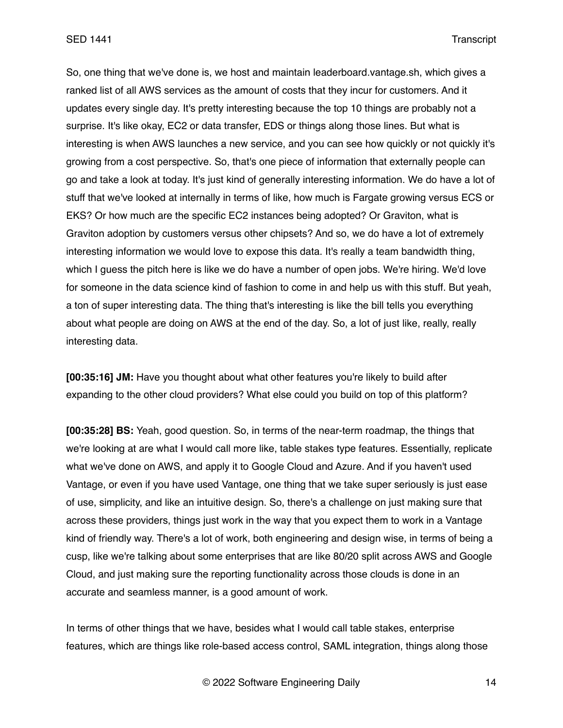So, one thing that we've done is, we host and maintain leaderboard.vantage.sh, which gives a ranked list of all AWS services as the amount of costs that they incur for customers. And it updates every single day. It's pretty interesting because the top 10 things are probably not a surprise. It's like okay, EC2 or data transfer, EDS or things along those lines. But what is interesting is when AWS launches a new service, and you can see how quickly or not quickly it's growing from a cost perspective. So, that's one piece of information that externally people can go and take a look at today. It's just kind of generally interesting information. We do have a lot of stuff that we've looked at internally in terms of like, how much is Fargate growing versus ECS or EKS? Or how much are the specific EC2 instances being adopted? Or Graviton, what is Graviton adoption by customers versus other chipsets? And so, we do have a lot of extremely interesting information we would love to expose this data. It's really a team bandwidth thing, which I guess the pitch here is like we do have a number of open jobs. We're hiring. We'd love for someone in the data science kind of fashion to come in and help us with this stuff. But yeah, a ton of super interesting data. The thing that's interesting is like the bill tells you everything about what people are doing on AWS at the end of the day. So, a lot of just like, really, really interesting data.

**[00:35:16] JM:** Have you thought about what other features you're likely to build after expanding to the other cloud providers? What else could you build on top of this platform?

**[00:35:28] BS:** Yeah, good question. So, in terms of the near-term roadmap, the things that we're looking at are what I would call more like, table stakes type features. Essentially, replicate what we've done on AWS, and apply it to Google Cloud and Azure. And if you haven't used Vantage, or even if you have used Vantage, one thing that we take super seriously is just ease of use, simplicity, and like an intuitive design. So, there's a challenge on just making sure that across these providers, things just work in the way that you expect them to work in a Vantage kind of friendly way. There's a lot of work, both engineering and design wise, in terms of being a cusp, like we're talking about some enterprises that are like 80/20 split across AWS and Google Cloud, and just making sure the reporting functionality across those clouds is done in an accurate and seamless manner, is a good amount of work.

In terms of other things that we have, besides what I would call table stakes, enterprise features, which are things like role-based access control, SAML integration, things along those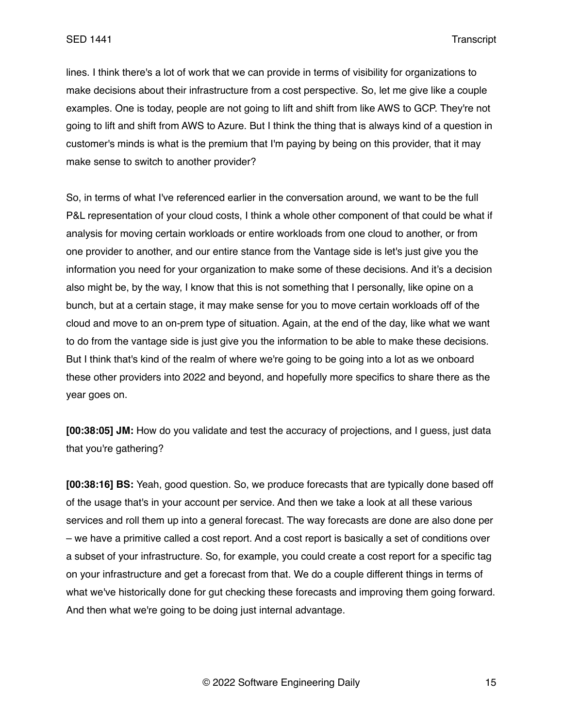lines. I think there's a lot of work that we can provide in terms of visibility for organizations to make decisions about their infrastructure from a cost perspective. So, let me give like a couple examples. One is today, people are not going to lift and shift from like AWS to GCP. They're not going to lift and shift from AWS to Azure. But I think the thing that is always kind of a question in customer's minds is what is the premium that I'm paying by being on this provider, that it may make sense to switch to another provider?

So, in terms of what I've referenced earlier in the conversation around, we want to be the full P&L representation of your cloud costs, I think a whole other component of that could be what if analysis for moving certain workloads or entire workloads from one cloud to another, or from one provider to another, and our entire stance from the Vantage side is let's just give you the information you need for your organization to make some of these decisions. And it's a decision also might be, by the way, I know that this is not something that I personally, like opine on a bunch, but at a certain stage, it may make sense for you to move certain workloads off of the cloud and move to an on-prem type of situation. Again, at the end of the day, like what we want to do from the vantage side is just give you the information to be able to make these decisions. But I think that's kind of the realm of where we're going to be going into a lot as we onboard these other providers into 2022 and beyond, and hopefully more specifics to share there as the year goes on.

**[00:38:05] JM:** How do you validate and test the accuracy of projections, and I guess, just data that you're gathering?

**[00:38:16] BS:** Yeah, good question. So, we produce forecasts that are typically done based off of the usage that's in your account per service. And then we take a look at all these various services and roll them up into a general forecast. The way forecasts are done are also done per – we have a primitive called a cost report. And a cost report is basically a set of conditions over a subset of your infrastructure. So, for example, you could create a cost report for a specific tag on your infrastructure and get a forecast from that. We do a couple different things in terms of what we've historically done for gut checking these forecasts and improving them going forward. And then what we're going to be doing just internal advantage.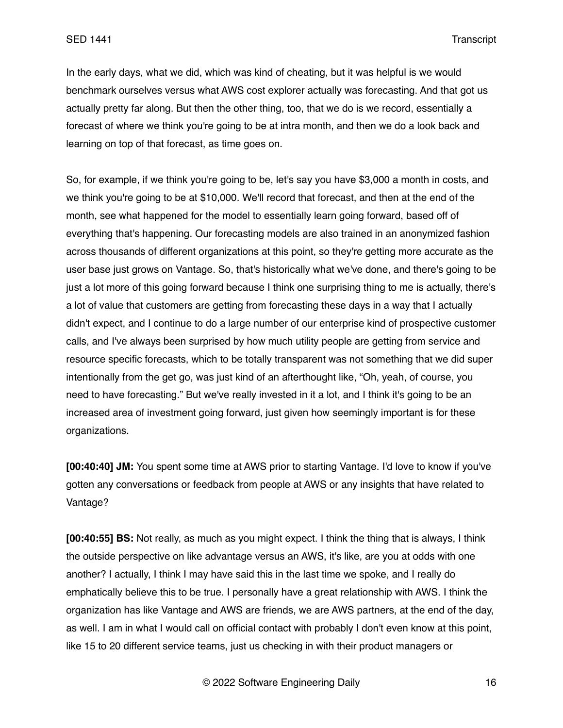In the early days, what we did, which was kind of cheating, but it was helpful is we would benchmark ourselves versus what AWS cost explorer actually was forecasting. And that got us actually pretty far along. But then the other thing, too, that we do is we record, essentially a forecast of where we think you're going to be at intra month, and then we do a look back and learning on top of that forecast, as time goes on.

So, for example, if we think you're going to be, let's say you have \$3,000 a month in costs, and we think you're going to be at \$10,000. We'll record that forecast, and then at the end of the month, see what happened for the model to essentially learn going forward, based off of everything that's happening. Our forecasting models are also trained in an anonymized fashion across thousands of different organizations at this point, so they're getting more accurate as the user base just grows on Vantage. So, that's historically what we've done, and there's going to be just a lot more of this going forward because I think one surprising thing to me is actually, there's a lot of value that customers are getting from forecasting these days in a way that I actually didn't expect, and I continue to do a large number of our enterprise kind of prospective customer calls, and I've always been surprised by how much utility people are getting from service and resource specific forecasts, which to be totally transparent was not something that we did super intentionally from the get go, was just kind of an afterthought like, "Oh, yeah, of course, you need to have forecasting." But we've really invested in it a lot, and I think it's going to be an increased area of investment going forward, just given how seemingly important is for these organizations.

**[00:40:40] JM:** You spent some time at AWS prior to starting Vantage. I'd love to know if you've gotten any conversations or feedback from people at AWS or any insights that have related to Vantage?

**[00:40:55] BS:** Not really, as much as you might expect. I think the thing that is always, I think the outside perspective on like advantage versus an AWS, it's like, are you at odds with one another? I actually, I think I may have said this in the last time we spoke, and I really do emphatically believe this to be true. I personally have a great relationship with AWS. I think the organization has like Vantage and AWS are friends, we are AWS partners, at the end of the day, as well. I am in what I would call on official contact with probably I don't even know at this point, like 15 to 20 different service teams, just us checking in with their product managers or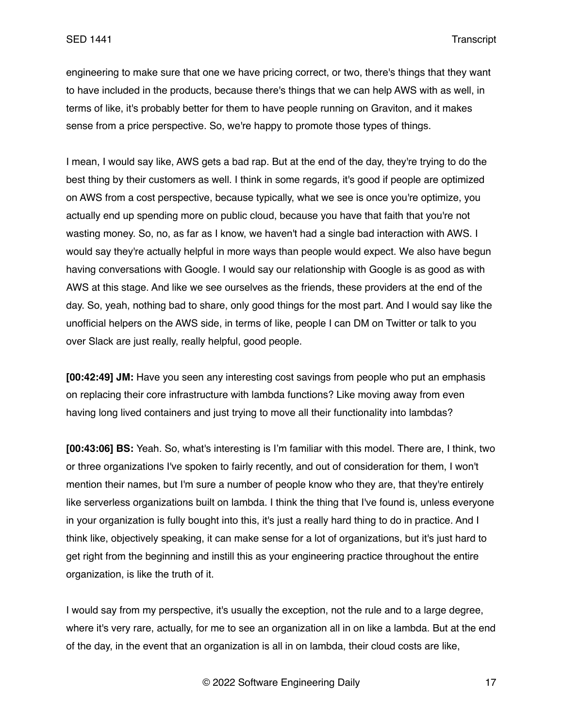engineering to make sure that one we have pricing correct, or two, there's things that they want to have included in the products, because there's things that we can help AWS with as well, in terms of like, it's probably better for them to have people running on Graviton, and it makes sense from a price perspective. So, we're happy to promote those types of things.

I mean, I would say like, AWS gets a bad rap. But at the end of the day, they're trying to do the best thing by their customers as well. I think in some regards, it's good if people are optimized on AWS from a cost perspective, because typically, what we see is once you're optimize, you actually end up spending more on public cloud, because you have that faith that you're not wasting money. So, no, as far as I know, we haven't had a single bad interaction with AWS. I would say they're actually helpful in more ways than people would expect. We also have begun having conversations with Google. I would say our relationship with Google is as good as with AWS at this stage. And like we see ourselves as the friends, these providers at the end of the day. So, yeah, nothing bad to share, only good things for the most part. And I would say like the unofficial helpers on the AWS side, in terms of like, people I can DM on Twitter or talk to you over Slack are just really, really helpful, good people.

**[00:42:49] JM:** Have you seen any interesting cost savings from people who put an emphasis on replacing their core infrastructure with lambda functions? Like moving away from even having long lived containers and just trying to move all their functionality into lambdas?

**[00:43:06] BS:** Yeah. So, what's interesting is I'm familiar with this model. There are, I think, two or three organizations I've spoken to fairly recently, and out of consideration for them, I won't mention their names, but I'm sure a number of people know who they are, that they're entirely like serverless organizations built on lambda. I think the thing that I've found is, unless everyone in your organization is fully bought into this, it's just a really hard thing to do in practice. And I think like, objectively speaking, it can make sense for a lot of organizations, but it's just hard to get right from the beginning and instill this as your engineering practice throughout the entire organization, is like the truth of it.

I would say from my perspective, it's usually the exception, not the rule and to a large degree, where it's very rare, actually, for me to see an organization all in on like a lambda. But at the end of the day, in the event that an organization is all in on lambda, their cloud costs are like,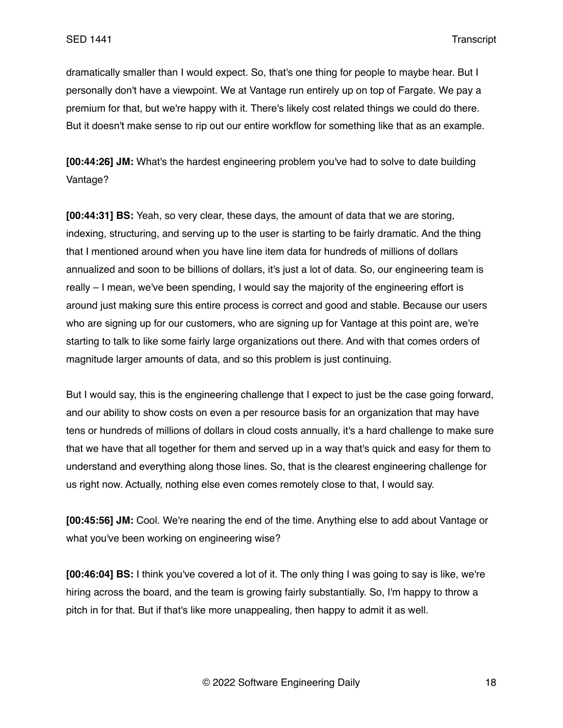dramatically smaller than I would expect. So, that's one thing for people to maybe hear. But I personally don't have a viewpoint. We at Vantage run entirely up on top of Fargate. We pay a premium for that, but we're happy with it. There's likely cost related things we could do there. But it doesn't make sense to rip out our entire workflow for something like that as an example.

**[00:44:26] JM:** What's the hardest engineering problem you've had to solve to date building Vantage?

**[00:44:31] BS:** Yeah, so very clear, these days, the amount of data that we are storing, indexing, structuring, and serving up to the user is starting to be fairly dramatic. And the thing that I mentioned around when you have line item data for hundreds of millions of dollars annualized and soon to be billions of dollars, it's just a lot of data. So, our engineering team is really – I mean, we've been spending, I would say the majority of the engineering effort is around just making sure this entire process is correct and good and stable. Because our users who are signing up for our customers, who are signing up for Vantage at this point are, we're starting to talk to like some fairly large organizations out there. And with that comes orders of magnitude larger amounts of data, and so this problem is just continuing.

But I would say, this is the engineering challenge that I expect to just be the case going forward, and our ability to show costs on even a per resource basis for an organization that may have tens or hundreds of millions of dollars in cloud costs annually, it's a hard challenge to make sure that we have that all together for them and served up in a way that's quick and easy for them to understand and everything along those lines. So, that is the clearest engineering challenge for us right now. Actually, nothing else even comes remotely close to that, I would say.

**[00:45:56] JM:** Cool. We're nearing the end of the time. Anything else to add about Vantage or what you've been working on engineering wise?

**[00:46:04] BS:** I think you've covered a lot of it. The only thing I was going to say is like, we're hiring across the board, and the team is growing fairly substantially. So, I'm happy to throw a pitch in for that. But if that's like more unappealing, then happy to admit it as well.